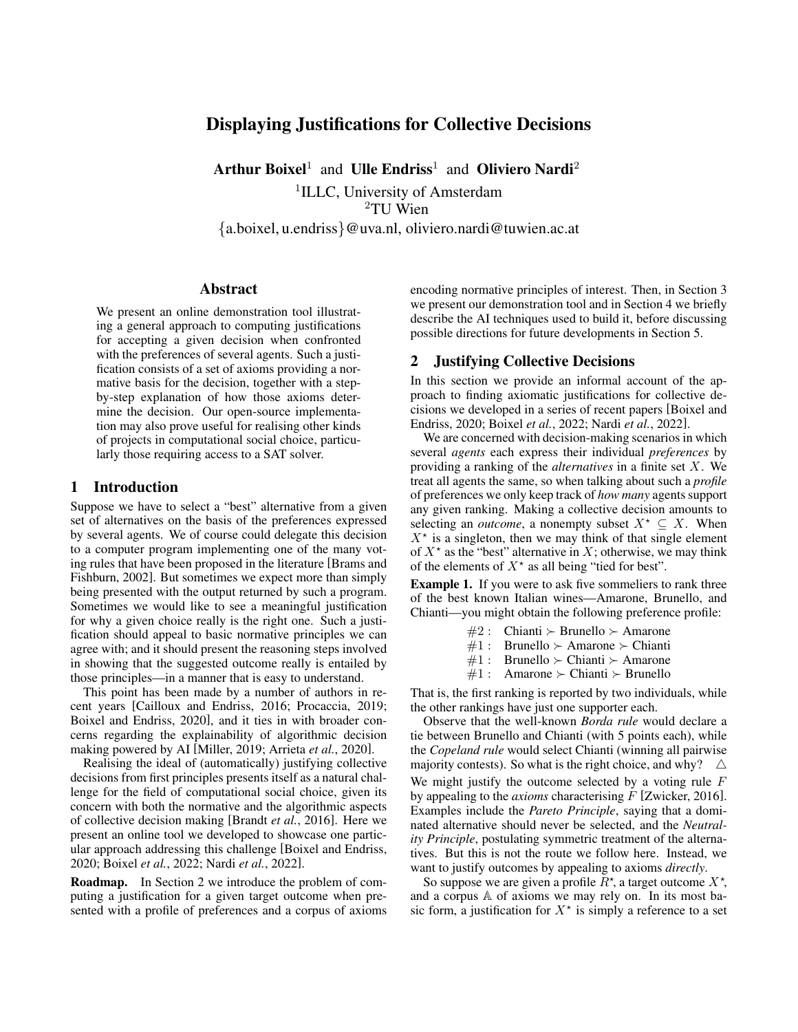# Displaying Justifications for Collective Decisions

Arthur Boixel<sup>1</sup> and Ulle Endriss<sup>1</sup> and Oliviero Nardi<sup>2</sup>

<sup>1</sup>ILLC, University of Amsterdam <sup>2</sup>TU Wien

{a.boixel, u.endriss}@uva.nl, oliviero.nardi@tuwien.ac.at

#### Abstract

We present an online demonstration tool illustrating a general approach to computing justifications for accepting a given decision when confronted with the preferences of several agents. Such a justification consists of a set of axioms providing a normative basis for the decision, together with a stepby-step explanation of how those axioms determine the decision. Our open-source implementation may also prove useful for realising other kinds of projects in computational social choice, particularly those requiring access to a SAT solver.

#### 1 Introduction

Suppose we have to select a "best" alternative from a given set of alternatives on the basis of the preferences expressed by several agents. We of course could delegate this decision to a computer program implementing one of the many voting rules that have been proposed in the literature [\[Brams and](#page-3-0) [Fishburn, 2002\]](#page-3-0). But sometimes we expect more than simply being presented with the output returned by such a program. Sometimes we would like to see a meaningful justification for why a given choice really is the right one. Such a justification should appeal to basic normative principles we can agree with; and it should present the reasoning steps involved in showing that the suggested outcome really is entailed by those principles—in a manner that is easy to understand.

This point has been made by a number of authors in recent years [\[Cailloux and Endriss, 2016;](#page-3-1) [Procaccia, 2019;](#page-3-2) [Boixel and Endriss, 2020\]](#page-3-3), and it ties in with broader concerns regarding the explainability of algorithmic decision making powered by AI [\[Miller, 2019;](#page-3-4) [Arrieta](#page-2-0) *et al.*, 2020].

Realising the ideal of (automatically) justifying collective decisions from first principles presents itself as a natural challenge for the field of computational social choice, given its concern with both the normative and the algorithmic aspects of collective decision making [\[Brandt](#page-3-5) *et al.*, 2016]. Here we present an online tool we developed to showcase one particular approach addressing this challenge [\[Boixel and Endriss,](#page-3-3) [2020;](#page-3-3) [Boixel](#page-3-6) *et al.*, 2022; Nardi *et al.*[, 2022\]](#page-3-7).

Roadmap. In Section [2](#page-0-0) we introduce the problem of computing a justification for a given target outcome when presented with a profile of preferences and a corpus of axioms encoding normative principles of interest. Then, in Section [3](#page-1-0) we present our demonstration tool and in Section [4](#page-2-1) we briefly describe the AI techniques used to build it, before discussing possible directions for future developments in Section [5.](#page-2-2)

# <span id="page-0-0"></span>2 Justifying Collective Decisions

In this section we provide an informal account of the approach to finding axiomatic justifications for collective decisions we developed in a series of recent papers [\[Boixel and](#page-3-3) [Endriss, 2020;](#page-3-3) [Boixel](#page-3-6) *et al.*, 2022; Nardi *et al.*[, 2022\]](#page-3-7).

We are concerned with decision-making scenarios in which several *agents* each express their individual *preferences* by providing a ranking of the *alternatives* in a finite set X. We treat all agents the same, so when talking about such a *profile* of preferences we only keep track of *how many* agents support any given ranking. Making a collective decision amounts to selecting an *outcome*, a nonempty subset  $X^* \subseteq X$ . When  $X^*$  is a singleton, then we may think of that single element of  $X^*$  as the "best" alternative in X; otherwise, we may think of the elements of  $X^*$  as all being "tied for best".

Example 1. If you were to ask five sommeliers to rank three of the best known Italian wines—Amarone, Brunello, and Chianti—you might obtain the following preference profile:

- $#2$ : Chianti  $\succ$  Brunello  $\succ$  Amarone
- $#1:$  Brunello  $\succ$  Amarone  $\succ$  Chianti
- $#1$ : Brunello  $\succ$  Chianti  $\succ$  Amarone
- $\#1$ : Amarone  $\succ$  Chianti  $\succ$  Brunello

That is, the first ranking is reported by two individuals, while the other rankings have just one supporter each.

Observe that the well-known *Borda rule* would declare a tie between Brunello and Chianti (with 5 points each), while the *Copeland rule* would select Chianti (winning all pairwise majority contests). So what is the right choice, and why?  $\triangle$ We might justify the outcome selected by a voting rule  $F$ by appealing to the *axioms* characterising F [\[Zwicker, 2016\]](#page-3-8). Examples include the *Pareto Principle*, saying that a dominated alternative should never be selected, and the *Neutrality Principle*, postulating symmetric treatment of the alternatives. But this is not the route we follow here. Instead, we want to justify outcomes by appealing to axioms *directly*.

So suppose we are given a profile  $\overline{R}^*$ , a target outcome  $X^*$ , and a corpus A of axioms we may rely on. In its most basic form, a justification for  $X^*$  is simply a reference to a set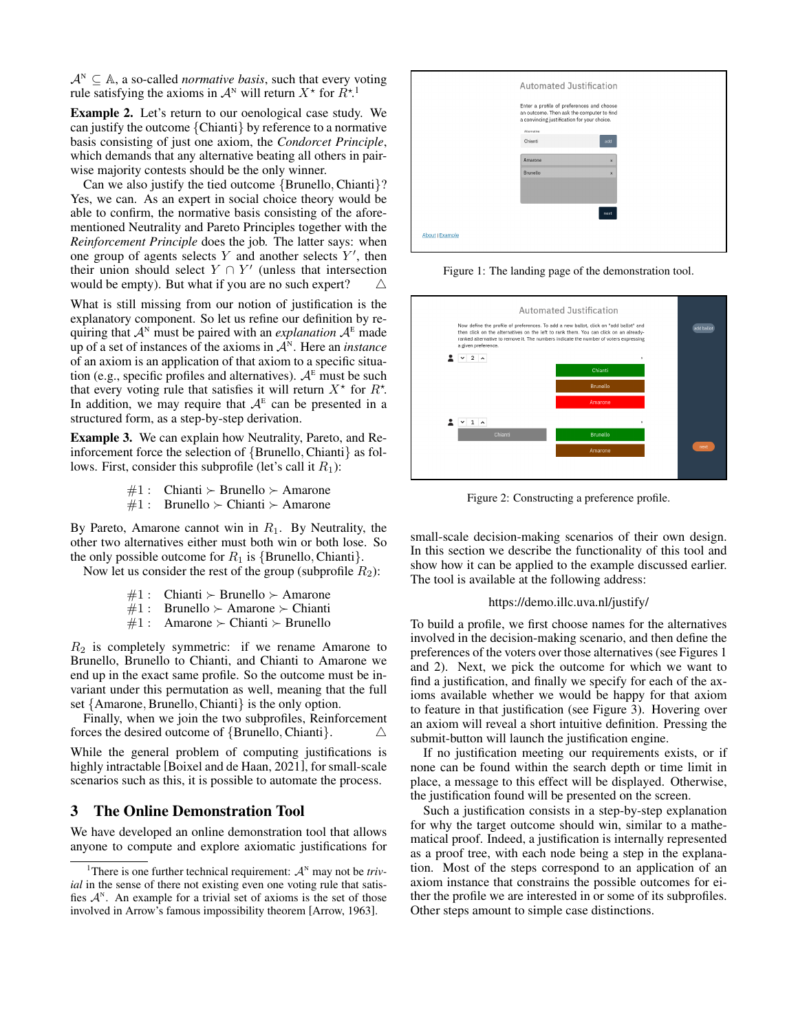$A^N \subseteq A$ , a so-called *normative basis*, such that every voting rule satisfying the axioms in  $\mathcal{A}^N$  will return  $X^*$  for  $\tilde{R}^{*,1}$  $\tilde{R}^{*,1}$  $\tilde{R}^{*,1}$ 

Example 2. Let's return to our oenological case study. We can justify the outcome {Chianti} by reference to a normative basis consisting of just one axiom, the *Condorcet Principle*, which demands that any alternative beating all others in pairwise majority contests should be the only winner.

Can we also justify the tied outcome {Brunello, Chianti}? Yes, we can. As an expert in social choice theory would be able to confirm, the normative basis consisting of the aforementioned Neutrality and Pareto Principles together with the *Reinforcement Principle* does the job. The latter says: when one group of agents selects  $Y$  and another selects  $Y'$ , then their union should select  $Y \cap Y'$  (unless that intersection would be empty). But what if you are no such expert?  $\triangle$ 

What is still missing from our notion of justification is the explanatory component. So let us refine our definition by requiring that  $A^N$  must be paired with an *explanation*  $A^E$  made up of a set of instances of the axioms in  $A<sup>N</sup>$ . Here an *instance* of an axiom is an application of that axiom to a specific situation (e.g., specific profiles and alternatives).  $A<sup>E</sup>$  must be such that every voting rule that satisfies it will return  $X^*$  for  $R^*$ . In addition, we may require that  $A^E$  can be presented in a structured form, as a step-by-step derivation.

<span id="page-1-4"></span>Example 3. We can explain how Neutrality, Pareto, and Reinforcement force the selection of {Brunello, Chianti} as follows. First, consider this subprofile (let's call it  $R_1$ ):

- $\#1$ : Chianti  $\succ$  Brunello  $\succ$  Amarone
- $\#1$ : Brunello  $\succ$  Chianti  $\succ$  Amarone

By Pareto, Amarone cannot win in  $R_1$ . By Neutrality, the other two alternatives either must both win or both lose. So the only possible outcome for  $R_1$  is {Brunello, Chianti}.

Now let us consider the rest of the group (subprofile  $R_2$ ):

- $\#1$ : Chianti  $\succ$  Brunello  $\succ$  Amarone
- $\#1$ : Brunello  $\succ$  Amarone  $\succ$  Chianti
- $\#1$  : Amarone  $\succ$  Chianti  $\succ$  Brunello

 $R_2$  is completely symmetric: if we rename Amarone to Brunello, Brunello to Chianti, and Chianti to Amarone we end up in the exact same profile. So the outcome must be invariant under this permutation as well, meaning that the full set {Amarone, Brunello, Chianti} is the only option.

Finally, when we join the two subprofiles, Reinforcement forces the desired outcome of {Brunello, Chianti}.  $\triangle$ 

While the general problem of computing justifications is highly intractable [\[Boixel and de Haan, 2021\]](#page-3-9), for small-scale scenarios such as this, it is possible to automate the process.

## <span id="page-1-0"></span>3 The Online Demonstration Tool

We have developed an online demonstration tool that allows anyone to compute and explore axiomatic justifications for

<span id="page-1-2"></span>

|                        | <b>Automated Justification</b>                                                                                                        |  |
|------------------------|---------------------------------------------------------------------------------------------------------------------------------------|--|
|                        | Enter a profile of preferences and choose<br>an outcome. Then ask the computer to find<br>a convincing justification for your choice. |  |
|                        | Albernative<br>Chianti<br>add                                                                                                         |  |
|                        | Amarone<br>$\overline{\mathbf{x}}$                                                                                                    |  |
|                        | Brunello<br>$\mathbf{x}$                                                                                                              |  |
|                        | next                                                                                                                                  |  |
| <b>About   Example</b> |                                                                                                                                       |  |

Figure 1: The landing page of the demonstration tool.

<span id="page-1-3"></span>

Figure 2: Constructing a preference profile.

small-scale decision-making scenarios of their own design. In this section we describe the functionality of this tool and show how it can be applied to the example discussed earlier. The tool is available at the following address:

#### <https://demo.illc.uva.nl/justify/>

To build a profile, we first choose names for the alternatives involved in the decision-making scenario, and then define the preferences of the voters over those alternatives (see Figures [1](#page-1-2) and [2\)](#page-1-3). Next, we pick the outcome for which we want to find a justification, and finally we specify for each of the axioms available whether we would be happy for that axiom to feature in that justification (see Figure [3\)](#page-2-3). Hovering over an axiom will reveal a short intuitive definition. Pressing the submit-button will launch the justification engine.

If no justification meeting our requirements exists, or if none can be found within the search depth or time limit in place, a message to this effect will be displayed. Otherwise, the justification found will be presented on the screen.

Such a justification consists in a step-by-step explanation for why the target outcome should win, similar to a mathematical proof. Indeed, a justification is internally represented as a proof tree, with each node being a step in the explanation. Most of the steps correspond to an application of an axiom instance that constrains the possible outcomes for either the profile we are interested in or some of its subprofiles. Other steps amount to simple case distinctions.

<span id="page-1-1"></span><sup>&</sup>lt;sup>1</sup>There is one further technical requirement:  $A^N$  may not be *trivial* in the sense of there not existing even one voting rule that satisfies  $A^N$ . An example for a trivial set of axioms is the set of those involved in Arrow's famous impossibility theorem [\[Arrow, 1963\]](#page-3-10).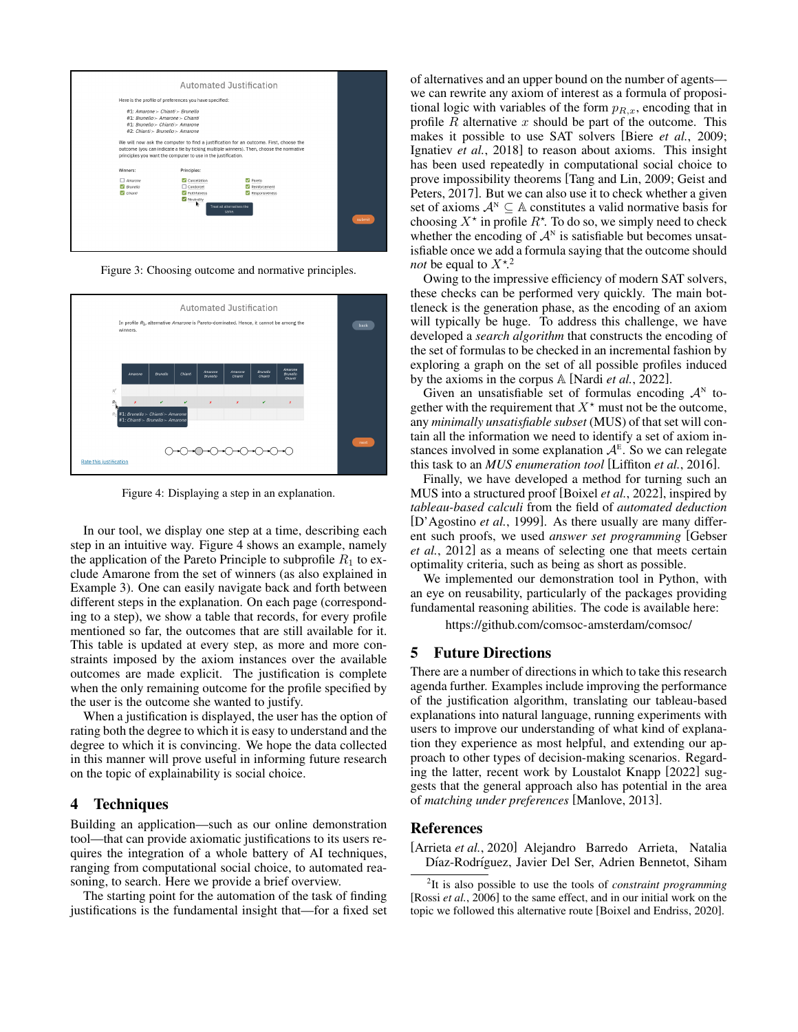<span id="page-2-3"></span>

Figure 3: Choosing outcome and normative principles.

<span id="page-2-4"></span>

Figure 4: Displaying a step in an explanation.

In our tool, we display one step at a time, describing each step in an intuitive way. Figure [4](#page-2-4) shows an example, namely the application of the Pareto Principle to subprofile  $R_1$  to exclude Amarone from the set of winners (as also explained in Example [3\)](#page-1-4). One can easily navigate back and forth between different steps in the explanation. On each page (corresponding to a step), we show a table that records, for every profile mentioned so far, the outcomes that are still available for it. This table is updated at every step, as more and more constraints imposed by the axiom instances over the available outcomes are made explicit. The justification is complete when the only remaining outcome for the profile specified by the user is the outcome she wanted to justify.

When a justification is displayed, the user has the option of rating both the degree to which it is easy to understand and the degree to which it is convincing. We hope the data collected in this manner will prove useful in informing future research on the topic of explainability is social choice.

### <span id="page-2-1"></span>4 Techniques

Building an application—such as our online demonstration tool—that can provide axiomatic justifications to its users requires the integration of a whole battery of AI techniques, ranging from computational social choice, to automated reasoning, to search. Here we provide a brief overview.

The starting point for the automation of the task of finding justifications is the fundamental insight that—for a fixed set of alternatives and an upper bound on the number of agents we can rewrite any axiom of interest as a formula of propositional logic with variables of the form  $p_{R,x}$ , encoding that in profile  $R$  alternative  $x$  should be part of the outcome. This makes it possible to use SAT solvers [Biere *et al.*[, 2009;](#page-3-11) [Ignatiev](#page-3-12) *et al.*, 2018] to reason about axioms. This insight has been used repeatedly in computational social choice to prove impossibility theorems [\[Tang and Lin, 2009;](#page-3-13) [Geist and](#page-3-14) [Peters, 2017\]](#page-3-14). But we can also use it to check whether a given set of axioms  $A^N \subseteq A$  constitutes a valid normative basis for choosing  $X^*$  in profile  $R^*$ . To do so, we simply need to check whether the encoding of  $\mathcal{A}^N$  is satisfiable but becomes unsatisfiable once we add a formula saying that the outcome should *not* be equal to  $X^*$ <sup>[2](#page-2-5)</sup>

Owing to the impressive efficiency of modern SAT solvers, these checks can be performed very quickly. The main bottleneck is the generation phase, as the encoding of an axiom will typically be huge. To address this challenge, we have developed a *search algorithm* that constructs the encoding of the set of formulas to be checked in an incremental fashion by exploring a graph on the set of all possible profiles induced by the axioms in the corpus A [Nardi *et al.*[, 2022\]](#page-3-7).

Given an unsatisfiable set of formulas encoding  $\mathcal{A}^N$  together with the requirement that  $X^*$  must not be the outcome, any *minimally unsatisfiable subset* (MUS) of that set will contain all the information we need to identify a set of axiom instances involved in some explanation  $A^E$ . So we can relegate this task to an *MUS enumeration tool* [\[Liffiton](#page-3-15) *et al.*, 2016].

Finally, we have developed a method for turning such an MUS into a structured proof [\[Boixel](#page-3-6) *et al.*, 2022], inspired by *tableau-based calculi* from the field of *automated deduction* [\[D'Agostino](#page-3-16) *et al.*, 1999]. As there usually are many different such proofs, we used *answer set programming* [\[Gebser](#page-3-17) *et al.*[, 2012\]](#page-3-17) as a means of selecting one that meets certain optimality criteria, such as being as short as possible.

We implemented our demonstration tool in Python, with an eye on reusability, particularly of the packages providing fundamental reasoning abilities. The code is available here:

<https://github.com/comsoc-amsterdam/comsoc/>

## <span id="page-2-2"></span>5 Future Directions

There are a number of directions in which to take this research agenda further. Examples include improving the performance of the justification algorithm, translating our tableau-based explanations into natural language, running experiments with users to improve our understanding of what kind of explanation they experience as most helpful, and extending our approach to other types of decision-making scenarios. Regarding the latter, recent work by [Loustalot Knapp](#page-3-18) [\[2022\]](#page-3-18) suggests that the general approach also has potential in the area of *matching under preferences* [\[Manlove, 2013\]](#page-3-19).

#### References

<span id="page-2-0"></span>[Arrieta *et al.*, 2020] Alejandro Barredo Arrieta, Natalia Díaz-Rodríguez, Javier Del Ser, Adrien Bennetot, Siham

<span id="page-2-5"></span><sup>2</sup> It is also possible to use the tools of *constraint programming* [Rossi *et al.*[, 2006\]](#page-3-20) to the same effect, and in our initial work on the topic we followed this alternative route [\[Boixel and Endriss, 2020\]](#page-3-3).